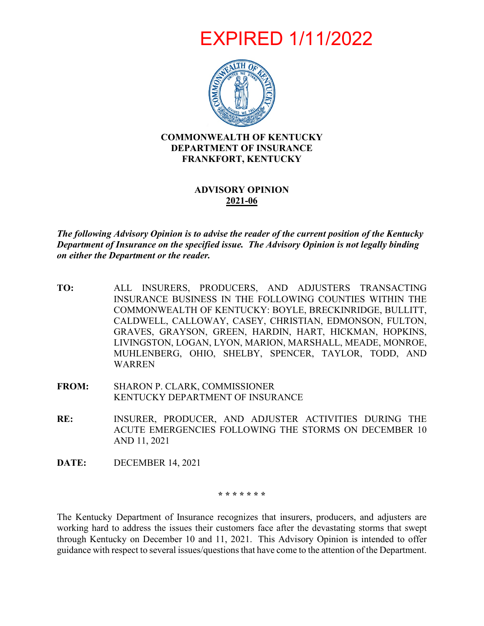EXPIRED 1/11/2022



#### **COMMONWEALTH OF KENTUCKY DEPARTMENT OF INSURANCE FRANKFORT, KENTUCKY**

## **ADVISORY OPINION 2021-06**

*The following Advisory Opinion is to advise the reader of the current position of the Kentucky Department of Insurance on the specified issue. The Advisory Opinion is not legally binding on either the Department or the reader.*

- **TO:** ALL INSURERS, PRODUCERS, AND ADJUSTERS TRANSACTING INSURANCE BUSINESS IN THE FOLLOWING COUNTIES WITHIN THE COMMONWEALTH OF KENTUCKY: BOYLE, BRECKINRIDGE, BULLITT, CALDWELL, CALLOWAY, CASEY, CHRISTIAN, EDMONSON, FULTON, GRAVES, GRAYSON, GREEN, HARDIN, HART, HICKMAN, HOPKINS, LIVINGSTON, LOGAN, LYON, MARION, MARSHALL, MEADE, MONROE, MUHLENBERG, OHIO, SHELBY, SPENCER, TAYLOR, TODD, AND WARREN
- **FROM:** SHARON P. CLARK, COMMISSIONER KENTUCKY DEPARTMENT OF INSURANCE
- **RE:** INSURER, PRODUCER, AND ADJUSTER ACTIVITIES DURING THE ACUTE EMERGENCIES FOLLOWING THE STORMS ON DECEMBER 10 AND 11, 2021
- **DATE:** DECEMBER 14, 2021

**\* \* \* \* \* \* \***

The Kentucky Department of Insurance recognizes that insurers, producers, and adjusters are working hard to address the issues their customers face after the devastating storms that swept through Kentucky on December 10 and 11, 2021. This Advisory Opinion is intended to offer guidance with respect to several issues/questions that have come to the attention of the Department.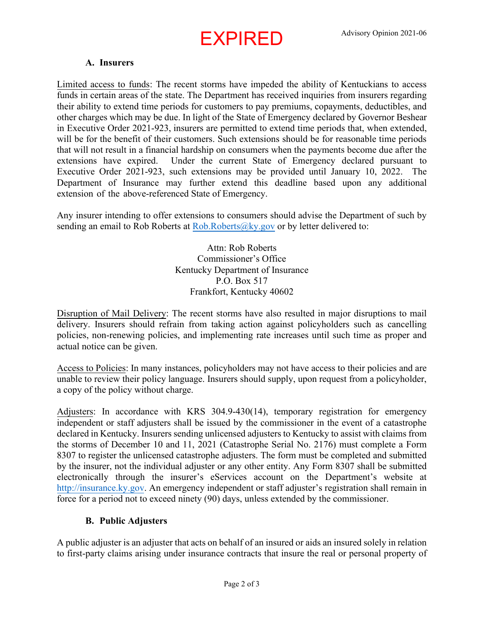# EXPIRED

## **A. Insurers**

Limited access to funds: The recent storms have impeded the ability of Kentuckians to access funds in certain areas of the state. The Department has received inquiries from insurers regarding their ability to extend time periods for customers to pay premiums, copayments, deductibles, and other charges which may be due. In light of the State of Emergency declared by Governor Beshear in Executive Order 2021-923, insurers are permitted to extend time periods that, when extended, will be for the benefit of their customers. Such extensions should be for reasonable time periods that will not result in a financial hardship on consumers when the payments become due after the extensions have expired. Under the current State of Emergency declared pursuant to Executive Order 2021-923, such extensions may be provided until January 10, 2022. The Department of Insurance may further extend this deadline based upon any additional extension of the above-referenced State of Emergency.

Any insurer intending to offer extensions to consumers should advise the Department of such by sending an email to Rob Roberts at  $Rob.Roberts@ky.gov$  or by letter delivered to:

> Attn: Rob Roberts Commissioner's Office Kentucky Department of Insurance P.O. Box 517 Frankfort, Kentucky 40602

Disruption of Mail Delivery: The recent storms have also resulted in major disruptions to mail delivery. Insurers should refrain from taking action against policyholders such as cancelling policies, non-renewing policies, and implementing rate increases until such time as proper and actual notice can be given.

Access to Policies: In many instances, policyholders may not have access to their policies and are unable to review their policy language. Insurers should supply, upon request from a policyholder, a copy of the policy without charge.

Adjusters: In accordance with KRS 304.9-430(14), temporary registration for emergency independent or staff adjusters shall be issued by the commissioner in the event of a catastrophe declared in Kentucky. Insurers sending unlicensed adjusters to Kentucky to assist with claims from the storms of December 10 and 11, 2021 (Catastrophe Serial No. 2176) must complete a Form 8307 to register the unlicensed catastrophe adjusters. The form must be completed and submitted by the insurer, not the individual adjuster or any other entity. Any Form 8307 shall be submitted electronically through the insurer's eServices account on the Department's website at [http://insurance.ky.gov.](http://insurance.ky.gov/) An emergency independent or staff adjuster's registration shall remain in force for a period not to exceed ninety (90) days, unless extended by the commissioner.

### **B. Public Adjusters**

A public adjuster is an adjuster that acts on behalf of an insured or aids an insured solely in relation to first-party claims arising under insurance contracts that insure the real or personal property of